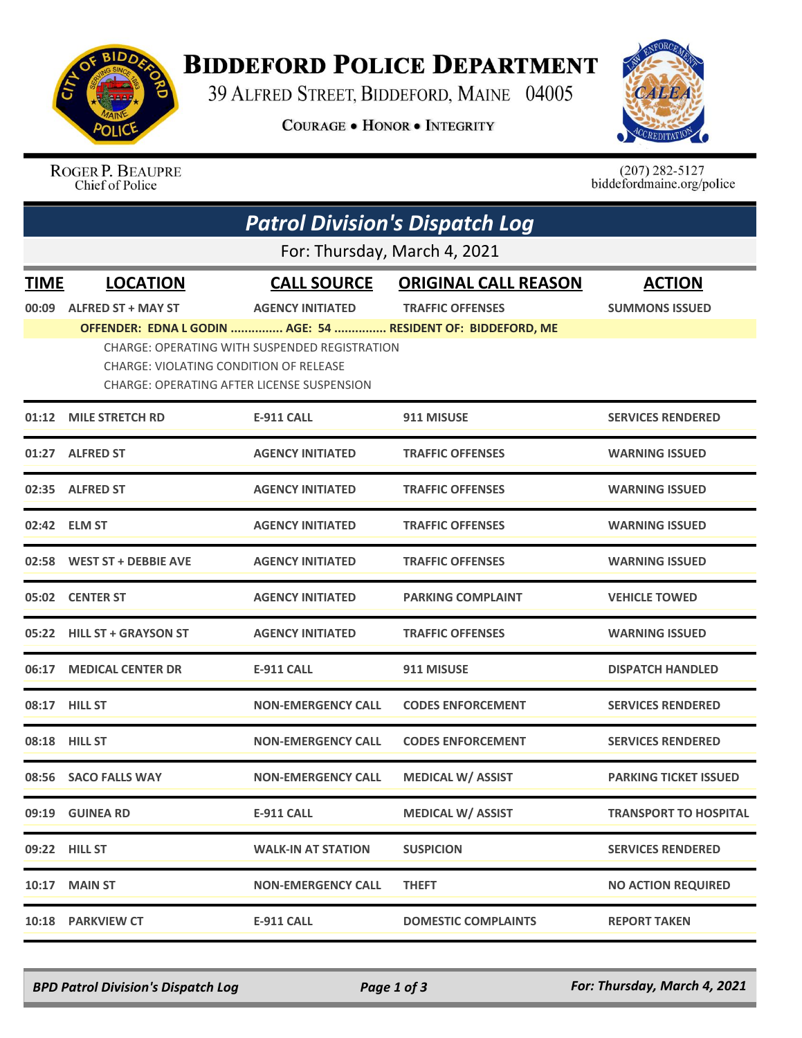

## **BIDDEFORD POLICE DEPARTMENT**

39 ALFRED STREET, BIDDEFORD, MAINE 04005

**COURAGE . HONOR . INTEGRITY** 



ROGER P. BEAUPRE Chief of Police

 $(207)$  282-5127<br>biddefordmaine.org/police

|                              | <b>Patrol Division's Dispatch Log</b>                                                |                                               |                                                             |                              |  |  |  |
|------------------------------|--------------------------------------------------------------------------------------|-----------------------------------------------|-------------------------------------------------------------|------------------------------|--|--|--|
| For: Thursday, March 4, 2021 |                                                                                      |                                               |                                                             |                              |  |  |  |
| <b>TIME</b>                  | <b>LOCATION</b>                                                                      | <b>CALL SOURCE</b>                            | <b>ORIGINAL CALL REASON</b>                                 | <b>ACTION</b>                |  |  |  |
| 00:09                        | <b>ALFRED ST + MAY ST</b>                                                            | <b>AGENCY INITIATED</b>                       | <b>TRAFFIC OFFENSES</b>                                     | <b>SUMMONS ISSUED</b>        |  |  |  |
|                              | CHARGE: VIOLATING CONDITION OF RELEASE<br>CHARGE: OPERATING AFTER LICENSE SUSPENSION | CHARGE: OPERATING WITH SUSPENDED REGISTRATION | OFFENDER: EDNA L GODIN  AGE: 54  RESIDENT OF: BIDDEFORD, ME |                              |  |  |  |
| 01:12                        | <b>MILE STRETCH RD</b>                                                               | <b>E-911 CALL</b>                             | 911 MISUSE                                                  | <b>SERVICES RENDERED</b>     |  |  |  |
|                              | 01:27 ALFRED ST                                                                      | <b>AGENCY INITIATED</b>                       | <b>TRAFFIC OFFENSES</b>                                     | <b>WARNING ISSUED</b>        |  |  |  |
| 02:35                        | <b>ALFRED ST</b>                                                                     | <b>AGENCY INITIATED</b>                       | <b>TRAFFIC OFFENSES</b>                                     | <b>WARNING ISSUED</b>        |  |  |  |
|                              | 02:42 ELM ST                                                                         | <b>AGENCY INITIATED</b>                       | <b>TRAFFIC OFFENSES</b>                                     | <b>WARNING ISSUED</b>        |  |  |  |
|                              | 02:58 WEST ST + DEBBIE AVE                                                           | <b>AGENCY INITIATED</b>                       | <b>TRAFFIC OFFENSES</b>                                     | <b>WARNING ISSUED</b>        |  |  |  |
| 05:02                        | <b>CENTER ST</b>                                                                     | <b>AGENCY INITIATED</b>                       | <b>PARKING COMPLAINT</b>                                    | <b>VEHICLE TOWED</b>         |  |  |  |
| 05:22                        | <b>HILL ST + GRAYSON ST</b>                                                          | <b>AGENCY INITIATED</b>                       | <b>TRAFFIC OFFENSES</b>                                     | <b>WARNING ISSUED</b>        |  |  |  |
| 06:17                        | <b>MEDICAL CENTER DR</b>                                                             | <b>E-911 CALL</b>                             | 911 MISUSE                                                  | <b>DISPATCH HANDLED</b>      |  |  |  |
|                              | 08:17 HILL ST                                                                        | <b>NON-EMERGENCY CALL</b>                     | <b>CODES ENFORCEMENT</b>                                    | <b>SERVICES RENDERED</b>     |  |  |  |
| 08:18                        | <b>HILL ST</b>                                                                       | <b>NON-EMERGENCY CALL</b>                     | <b>CODES ENFORCEMENT</b>                                    | <b>SERVICES RENDERED</b>     |  |  |  |
|                              | 08:56 SACO FALLS WAY                                                                 | <b>NON-EMERGENCY CALL</b>                     | <b>MEDICAL W/ ASSIST</b>                                    | <b>PARKING TICKET ISSUED</b> |  |  |  |
|                              | 09:19 GUINEA RD                                                                      | <b>E-911 CALL</b>                             | <b>MEDICAL W/ ASSIST</b>                                    | <b>TRANSPORT TO HOSPITAL</b> |  |  |  |
|                              | 09:22 HILL ST                                                                        | <b>WALK-IN AT STATION</b>                     | <b>SUSPICION</b>                                            | <b>SERVICES RENDERED</b>     |  |  |  |
|                              | <b>10:17 MAIN ST</b>                                                                 | <b>NON-EMERGENCY CALL</b>                     | <b>THEFT</b>                                                | <b>NO ACTION REQUIRED</b>    |  |  |  |
|                              | 10:18 PARKVIEW CT                                                                    | <b>E-911 CALL</b>                             | <b>DOMESTIC COMPLAINTS</b>                                  | <b>REPORT TAKEN</b>          |  |  |  |

*BPD Patrol Division's Dispatch Log Page 1 of 3 For: Thursday, March 4, 2021*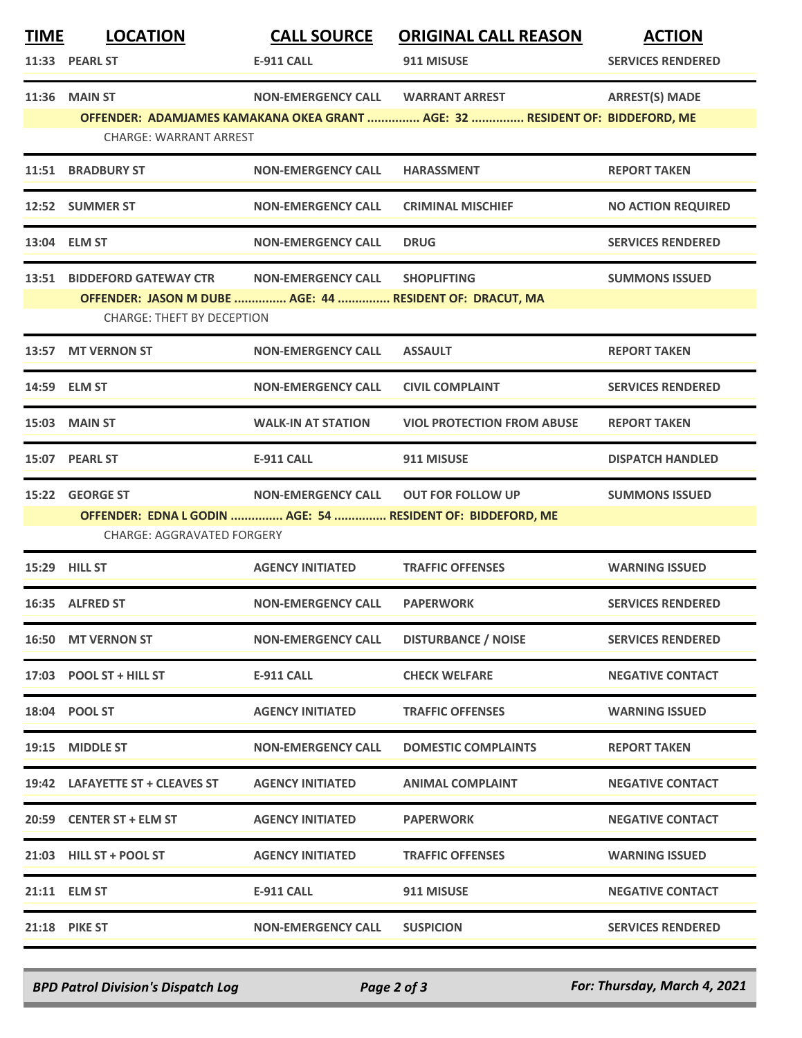| <u>TIME</u> | <b>LOCATION</b>                                                                                  | <b>CALL SOURCE</b>                | <b>ORIGINAL CALL REASON</b>                                                  | <b>ACTION</b>             |  |  |  |
|-------------|--------------------------------------------------------------------------------------------------|-----------------------------------|------------------------------------------------------------------------------|---------------------------|--|--|--|
|             | 11:33 PEARL ST                                                                                   | <b>E-911 CALL</b>                 | 911 MISUSE                                                                   | <b>SERVICES RENDERED</b>  |  |  |  |
| 11:36       | <b>MAIN ST</b>                                                                                   | NON-EMERGENCY CALL WARRANT ARREST |                                                                              | <b>ARREST(S) MADE</b>     |  |  |  |
|             | <b>CHARGE: WARRANT ARREST</b>                                                                    |                                   | OFFENDER: ADAMJAMES KAMAKANA OKEA GRANT  AGE: 32  RESIDENT OF: BIDDEFORD, ME |                           |  |  |  |
| 11:51       | <b>BRADBURY ST</b>                                                                               | <b>NON-EMERGENCY CALL</b>         | <b>HARASSMENT</b>                                                            | <b>REPORT TAKEN</b>       |  |  |  |
|             |                                                                                                  |                                   |                                                                              |                           |  |  |  |
|             | 12:52 SUMMER ST                                                                                  | <b>NON-EMERGENCY CALL</b>         | <b>CRIMINAL MISCHIEF</b>                                                     | <b>NO ACTION REQUIRED</b> |  |  |  |
|             | 13:04 ELM ST                                                                                     | <b>NON-EMERGENCY CALL</b>         | <b>DRUG</b>                                                                  | <b>SERVICES RENDERED</b>  |  |  |  |
| 13:51       | <b>BIDDEFORD GATEWAY CTR</b>                                                                     | <b>NON-EMERGENCY CALL</b>         | <b>SHOPLIFTING</b>                                                           | <b>SUMMONS ISSUED</b>     |  |  |  |
|             | OFFENDER: JASON M DUBE  AGE: 44  RESIDENT OF: DRACUT, MA<br><b>CHARGE: THEFT BY DECEPTION</b>    |                                   |                                                                              |                           |  |  |  |
| 13:57       | <b>MT VERNON ST</b>                                                                              | <b>NON-EMERGENCY CALL</b>         | <b>ASSAULT</b>                                                               | <b>REPORT TAKEN</b>       |  |  |  |
| 14:59       | <b>ELM ST</b>                                                                                    | <b>NON-EMERGENCY CALL</b>         | <b>CIVIL COMPLAINT</b>                                                       | <b>SERVICES RENDERED</b>  |  |  |  |
|             | 15:03 MAIN ST                                                                                    | <b>WALK-IN AT STATION</b>         | <b>VIOL PROTECTION FROM ABUSE</b>                                            | <b>REPORT TAKEN</b>       |  |  |  |
|             | 15:07 PEARL ST                                                                                   | <b>E-911 CALL</b>                 | 911 MISUSE                                                                   | <b>DISPATCH HANDLED</b>   |  |  |  |
|             | 15:22 GEORGE ST                                                                                  | <b>NON-EMERGENCY CALL</b>         | <b>OUT FOR FOLLOW UP</b>                                                     | <b>SUMMONS ISSUED</b>     |  |  |  |
|             | OFFENDER: EDNA L GODIN  AGE: 54  RESIDENT OF: BIDDEFORD, ME<br><b>CHARGE: AGGRAVATED FORGERY</b> |                                   |                                                                              |                           |  |  |  |
| 15:29       | <b>HILL ST</b>                                                                                   | <b>AGENCY INITIATED</b>           | <b>TRAFFIC OFFENSES</b>                                                      | <b>WARNING ISSUED</b>     |  |  |  |
|             | 16:35 ALFRED ST                                                                                  | <b>NON-EMERGENCY CALL</b>         | <b>PAPERWORK</b>                                                             | <b>SERVICES RENDERED</b>  |  |  |  |
| 16:50       | <b>MT VERNON ST</b>                                                                              | <b>NON-EMERGENCY CALL</b>         | <b>DISTURBANCE / NOISE</b>                                                   | <b>SERVICES RENDERED</b>  |  |  |  |
|             | 17:03 POOL ST + HILL ST                                                                          | <b>E-911 CALL</b>                 | <b>CHECK WELFARE</b>                                                         | <b>NEGATIVE CONTACT</b>   |  |  |  |
|             | 18:04 POOL ST                                                                                    | <b>AGENCY INITIATED</b>           | <b>TRAFFIC OFFENSES</b>                                                      | <b>WARNING ISSUED</b>     |  |  |  |
| 19:15       | <b>MIDDLE ST</b>                                                                                 | <b>NON-EMERGENCY CALL</b>         | <b>DOMESTIC COMPLAINTS</b>                                                   | <b>REPORT TAKEN</b>       |  |  |  |
|             | 19:42 LAFAYETTE ST + CLEAVES ST                                                                  | <b>AGENCY INITIATED</b>           | <b>ANIMAL COMPLAINT</b>                                                      | <b>NEGATIVE CONTACT</b>   |  |  |  |
| 20:59       | <b>CENTER ST + ELM ST</b>                                                                        | <b>AGENCY INITIATED</b>           | <b>PAPERWORK</b>                                                             | <b>NEGATIVE CONTACT</b>   |  |  |  |
|             | 21:03 HILL ST + POOL ST                                                                          | <b>AGENCY INITIATED</b>           | <b>TRAFFIC OFFENSES</b>                                                      | <b>WARNING ISSUED</b>     |  |  |  |
|             | 21:11 ELM ST                                                                                     | E-911 CALL                        | 911 MISUSE                                                                   | <b>NEGATIVE CONTACT</b>   |  |  |  |
|             | <b>21:18 PIKE ST</b>                                                                             | <b>NON-EMERGENCY CALL</b>         | <b>SUSPICION</b>                                                             | <b>SERVICES RENDERED</b>  |  |  |  |

*BPD Patrol Division's Dispatch Log Page 2 of 3 For: Thursday, March 4, 2021*